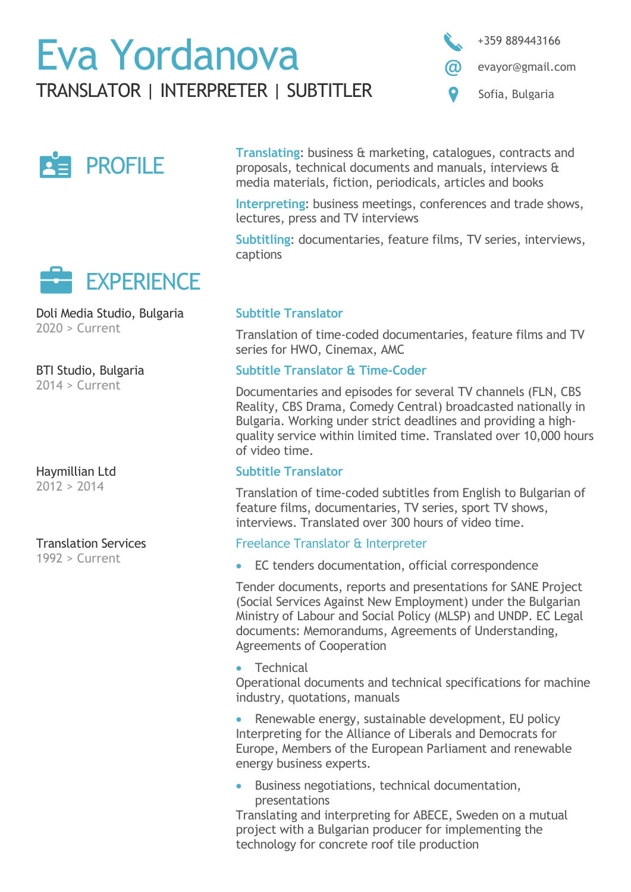# Eva Yordanova



evayor@gmail.com

TRANSLATOR | INTERPRETER | SUBTITLER  $\bullet$  Sofia, Bulgaria





Doli Media Studio, Bulgaria  $2020 >$  Current

BTI Studio, Bulgaria

2014 > Current

Haymillian Ltd  $2012 > 2014$ 

Translation Services

1992 > Current

**Translating**: business & marketing, catalogues, contracts and proposals, technical documents and manuals, interviews & media materials, fiction, periodicals, articles and books

**Interpreting**: business meetings, conferences and trade shows, lectures, press and TV interviews

**Subtitling**: documentaries, feature films, TV series, interviews, captions

## **Subtitle Translator**

Translation of time-coded documentaries, feature films and TV series for HWO, Cinemax, AMC

## **Subtitle Translator & Time-Coder**

Documentaries and episodes for several TV channels (FLN, CBS Reality, CBS Drama, Comedy Central) broadcasted nationally in Bulgaria. Working under strict deadlines and providing a highquality service within limited time. Translated over 10,000 hours of video time.

## **Subtitle Translator**

Translation of time-coded subtitles from English to Bulgarian of feature films, documentaries, TV series, sport TV shows, interviews. Translated over 300 hours of video time.

## Freelance Translator & Interpreter

• EC tenders documentation, official correspondence

Tender documents, reports and presentations for SANE Project (Social Services Against New Employment) under the Bulgarian Ministry of Labour and Social Policy (MLSP) and UNDP. EC Legal documents: Memorandums, Agreements of Understanding, Agreements of Cooperation

• Technical

Operational documents and technical specifications for machine industry, quotations, manuals

Renewable energy, sustainable development, EU policy Interpreting for the Alliance of Liberals and Democrats for Europe, Members of the European Parliament and renewable energy business experts.

• Business negotiations, technical documentation, presentations

Translating and interpreting for ABECE, Sweden on a mutual project with a Bulgarian producer for implementing the technology for concrete roof tile production